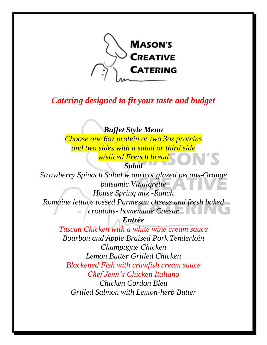

## *Catering designed to fit your taste and budget*

### *Buffet Style Menu*

*Choose one 6oz protein or two 3oz proteins and two sides with a salad or third side w/sliced French bread*

# *Salad*

*Strawberry Spinach Salad w apricot glazed pecans-Orange balsamic Vinaigrette House Spring mix -Ranch Romaine lettuce tossed Parmesan cheese and fresh baked croutons- homemade Caesar Entrée*

> *Tuscan Chicken with a white wine cream sauce Bourbon and Apple Braised Pork Tenderloin Champagne Chicken Lemon Butter Grilled Chicken Blackened Fish with crawfish cream sauce Chef Jenn's Chicken Italiano Chicken Cordon Bleu Grilled Salmon with Lemon-herb Butter*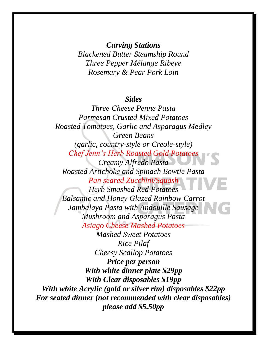*Carving Stations Blackened Butter Steamship Round Three Pepper Mélange Ribeye Rosemary & Pear Pork Loin*

#### *Sides*

*Three Cheese Penne Pasta Parmesan Crusted Mixed Potatoes Roasted Tomatoes, Garlic and Asparagus Medley Green Beans (garlic, country-style or Creole-style) Chef Jenn's Herb Roasted Gold Potatoes Creamy Alfredo Pasta Roasted Artichoke and Spinach Bowtie Pasta Pan seared Zucchini/Squash Herb Smashed Red Potatoes Balsamic and Honey Glazed Rainbow Carrot Jambalaya Pasta with Andouille Sausage Mushroom and Asparagus Pasta Asiago Cheese Mashed Potatoes Mashed Sweet Potatoes Rice Pilaf Cheesy Scallop Potatoes Price per person With white dinner plate \$29pp With Clear disposables \$19pp With white Acrylic (gold or silver rim) disposables \$22pp For seated dinner (not recommended with clear disposables) please add \$5.50pp*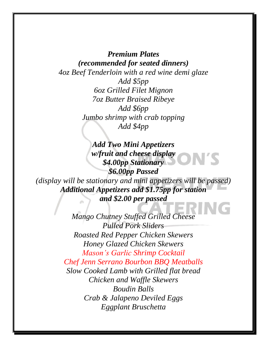*Premium Plates (recommended for seated dinners) 4oz Beef Tenderloin with a red wine demi glaze Add \$5pp 6oz Grilled Filet Mignon 7oz Butter Braised Ribeye Jumbo shrimp with crab topping Add \$4pp Add \$6pp*

*Add Two Mini Appetizers w/fruit and cheese display \$4.00pp Stationary \$6.00pp Passed (display will be stationary and mini appetizers will be passed) Additional Appetizers add \$1.75pp for station and \$2.00 per passed*

> *Mango Chutney Stuffed Grilled Cheese Roasted Red Pepper Chicken Skewers Honey Glazed Chicken Skewers Mason's Garlic Shrimp Cocktail Chef Jenn Serrano Bourbon BBQ Meatballs Slow Cooked Lamb with Grilled flat bread Chicken and Waffle Skewers Boudin Balls Crab & Jalapeno Deviled Eggs Eggplant Bruschetta Pulled Pork Sliders*